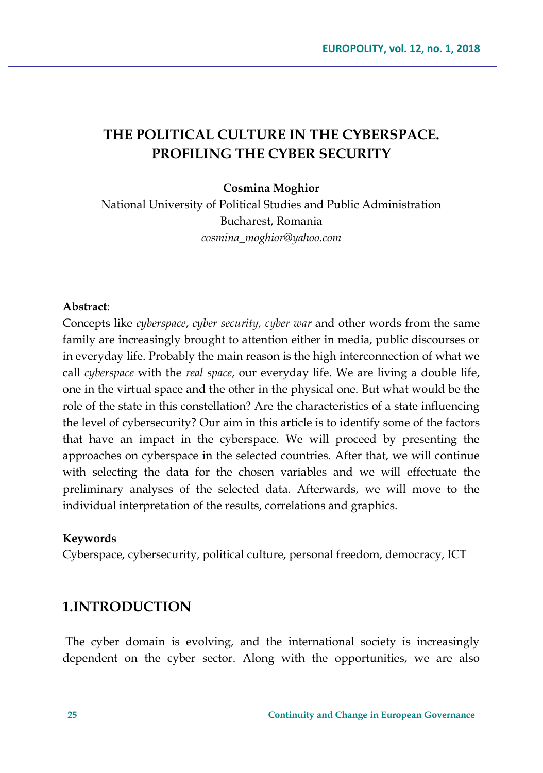# **THE POLITICAL CULTURE IN THE CYBERSPACE. PROFILING THE CYBER SECURITY**

#### **Cosmina Moghior**

National University of Political Studies and Public Administration Bucharest, Romania *cosmina\_moghior@yahoo.com*

#### **Abstract**:

Concepts like *cyberspace*, *cyber security, cyber war* and other words from the same family are increasingly brought to attention either in media, public discourses or in everyday life. Probably the main reason is the high interconnection of what we call *cyberspace* with the *real space*, our everyday life. We are living a double life, one in the virtual space and the other in the physical one. But what would be the role of the state in this constellation? Are the characteristics of a state influencing the level of cybersecurity? Our aim in this article is to identify some of the factors that have an impact in the cyberspace. We will proceed by presenting the approaches on cyberspace in the selected countries. After that, we will continue with selecting the data for the chosen variables and we will effectuate the preliminary analyses of the selected data. Afterwards, we will move to the individual interpretation of the results, correlations and graphics.

#### **Keywords**

Cyberspace, cybersecurity, political culture, personal freedom, democracy, ICT

## **1.INTRODUCTION**

The cyber domain is evolving, and the international society is increasingly dependent on the cyber sector. Along with the opportunities, we are also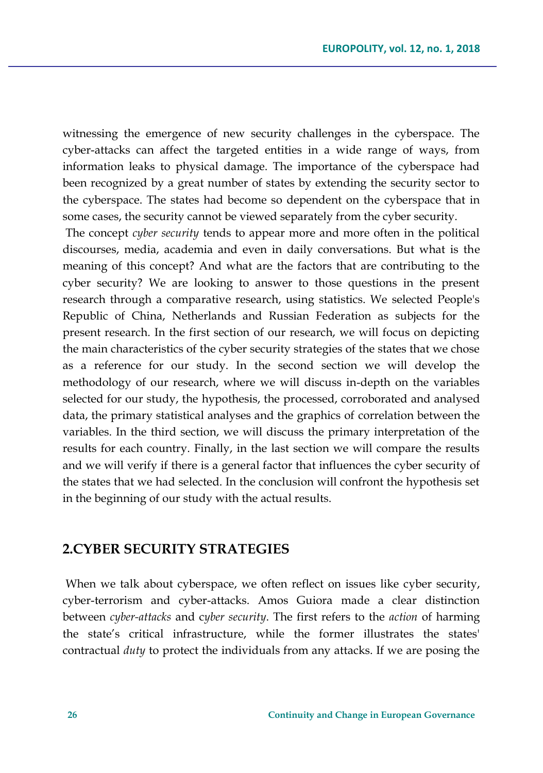witnessing the emergence of new security challenges in the cyberspace. The cyber-attacks can affect the targeted entities in a wide range of ways, from information leaks to physical damage. The importance of the cyberspace had been recognized by a great number of states by extending the security sector to the cyberspace. The states had become so dependent on the cyberspace that in some cases, the security cannot be viewed separately from the cyber security.

The concept *cyber security* tends to appear more and more often in the political discourses, media, academia and even in daily conversations. But what is the meaning of this concept? And what are the factors that are contributing to the cyber security? We are looking to answer to those questions in the present research through a comparative research, using statistics. We selected People's Republic of China, Netherlands and Russian Federation as subjects for the present research. In the first section of our research, we will focus on depicting the main characteristics of the cyber security strategies of the states that we chose as a reference for our study. In the second section we will develop the methodology of our research, where we will discuss in-depth on the variables selected for our study, the hypothesis, the processed, corroborated and analysed data, the primary statistical analyses and the graphics of correlation between the variables. In the third section, we will discuss the primary interpretation of the results for each country. Finally, in the last section we will compare the results and we will verify if there is a general factor that influences the cyber security of the states that we had selected. In the conclusion will confront the hypothesis set in the beginning of our study with the actual results.

## **2.CYBER SECURITY STRATEGIES**

When we talk about cyberspace, we often reflect on issues like cyber security, cyber-terrorism and cyber-attacks. Amos Guiora made a clear distinction between *cyber-attacks* and c*yber security*. The first refers to the *action* of harming the state's critical infrastructure, while the former illustrates the states' contractual *duty* to protect the individuals from any attacks. If we are posing the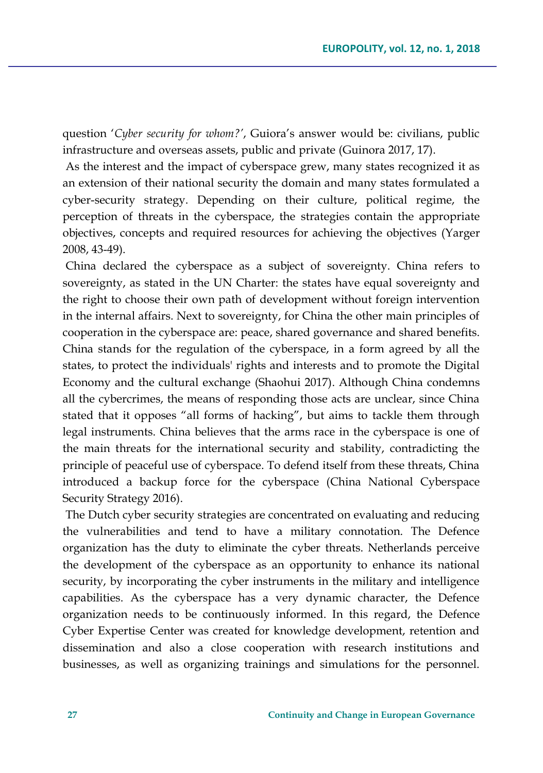question '*Cyber security for whom?'*, Guiora's answer would be: civilians, public infrastructure and overseas assets, public and private (Guinora 2017, 17).

As the interest and the impact of cyberspace grew, many states recognized it as an extension of their national security the domain and many states formulated a cyber-security strategy. Depending on their culture, political regime, the perception of threats in the cyberspace, the strategies contain the appropriate objectives, concepts and required resources for achieving the objectives (Yarger 2008, 43-49).

China declared the cyberspace as a subject of sovereignty. China refers to sovereignty, as stated in the UN Charter: the states have equal sovereignty and the right to choose their own path of development without foreign intervention in the internal affairs. Next to sovereignty, for China the other main principles of cooperation in the cyberspace are: peace, shared governance and shared benefits. China stands for the regulation of the cyberspace, in a form agreed by all the states, to protect the individuals' rights and interests and to promote the Digital Economy and the cultural exchange (Shaohui 2017). Although China condemns all the cybercrimes, the means of responding those acts are unclear, since China stated that it opposes "all forms of hacking", but aims to tackle them through legal instruments. China believes that the arms race in the cyberspace is one of the main threats for the international security and stability, contradicting the principle of peaceful use of cyberspace. To defend itself from these threats, China introduced a backup force for the cyberspace (China National Cyberspace Security Strategy 2016).

The Dutch cyber security strategies are concentrated on evaluating and reducing the vulnerabilities and tend to have a military connotation. The Defence organization has the duty to eliminate the cyber threats. Netherlands perceive the development of the cyberspace as an opportunity to enhance its national security, by incorporating the cyber instruments in the military and intelligence capabilities. As the cyberspace has a very dynamic character, the Defence organization needs to be continuously informed. In this regard, the Defence Cyber Expertise Center was created for knowledge development, retention and dissemination and also a close cooperation with research institutions and businesses, as well as organizing trainings and simulations for the personnel.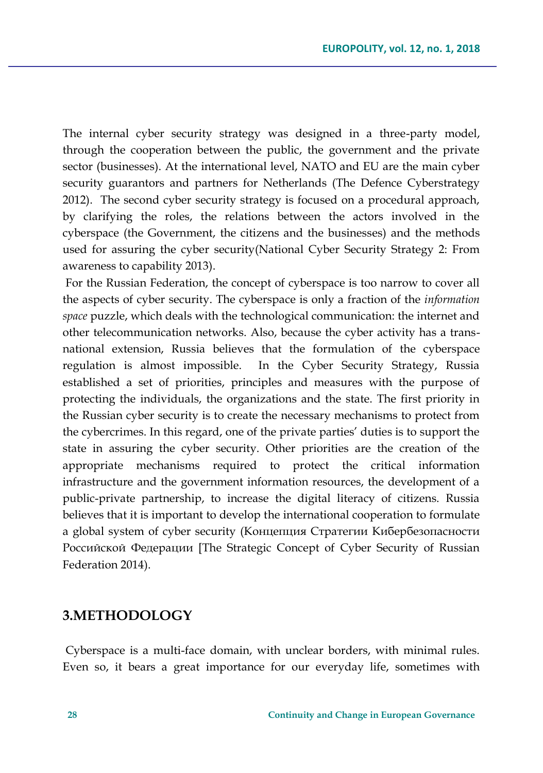The internal cyber security strategy was designed in a three-party model, through the cooperation between the public, the government and the private sector (businesses). At the international level, NATO and EU are the main cyber security guarantors and partners for Netherlands (The Defence Cyberstrategy 2012). The second cyber security strategy is focused on a procedural approach, by clarifying the roles, the relations between the actors involved in the cyberspace (the Government, the citizens and the businesses) and the methods used for assuring the cyber security(National Cyber Security Strategy 2: From awareness to capability 2013).

For the Russian Federation, the concept of cyberspace is too narrow to cover all the aspects of cyber security. The cyberspace is only a fraction of the *information space* puzzle, which deals with the technological communication: the internet and other telecommunication networks. Also, because the cyber activity has a transnational extension, Russia believes that the formulation of the cyberspace regulation is almost impossible. In the Cyber Security Strategy, Russia established a set of priorities, principles and measures with the purpose of protecting the individuals, the organizations and the state. The first priority in the Russian cyber security is to create the necessary mechanisms to protect from the cybercrimes. In this regard, one of the private parties' duties is to support the state in assuring the cyber security. Other priorities are the creation of the appropriate mechanisms required to protect the critical information infrastructure and the government information resources, the development of a public-private partnership, to increase the digital literacy of citizens. Russia believes that it is important to develop the international cooperation to formulate a global system of cyber security (Концепция Стратегии Кибербезопасности Российской Федерации [The Strategic Concept of Cyber Security of Russian Federation 2014).

### **3.METHODOLOGY**

Cyberspace is a multi-face domain, with unclear borders, with minimal rules. Even so, it bears a great importance for our everyday life, sometimes with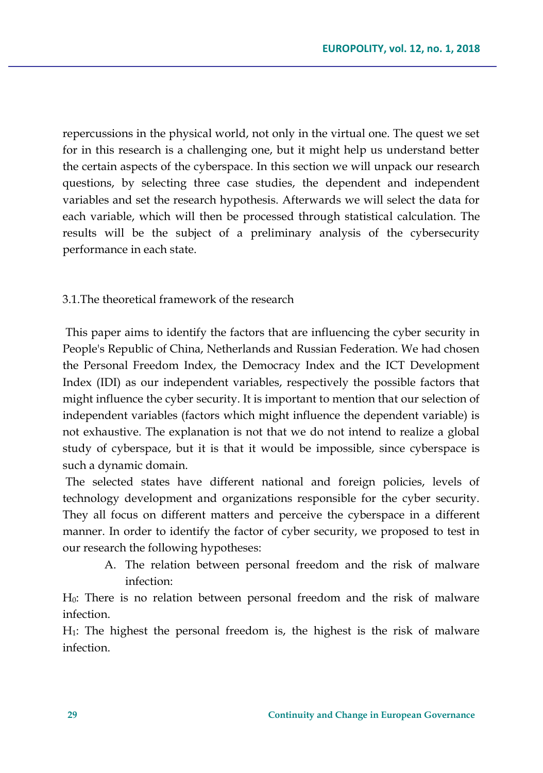repercussions in the physical world, not only in the virtual one. The quest we set for in this research is a challenging one, but it might help us understand better the certain aspects of the cyberspace. In this section we will unpack our research questions, by selecting three case studies, the dependent and independent variables and set the research hypothesis. Afterwards we will select the data for each variable, which will then be processed through statistical calculation. The results will be the subject of a preliminary analysis of the cybersecurity performance in each state.

### 3.1.The theoretical framework of the research

This paper aims to identify the factors that are influencing the cyber security in People's Republic of China, Netherlands and Russian Federation. We had chosen the Personal Freedom Index, the Democracy Index and the ICT Development Index (IDI) as our independent variables, respectively the possible factors that might influence the cyber security. It is important to mention that our selection of independent variables (factors which might influence the dependent variable) is not exhaustive. The explanation is not that we do not intend to realize a global study of cyberspace, but it is that it would be impossible, since cyberspace is such a dynamic domain.

The selected states have different national and foreign policies, levels of technology development and organizations responsible for the cyber security. They all focus on different matters and perceive the cyberspace in a different manner. In order to identify the factor of cyber security, we proposed to test in our research the following hypotheses:

A. The relation between personal freedom and the risk of malware infection:

H0: There is no relation between personal freedom and the risk of malware infection.

H1: The highest the personal freedom is, the highest is the risk of malware infection.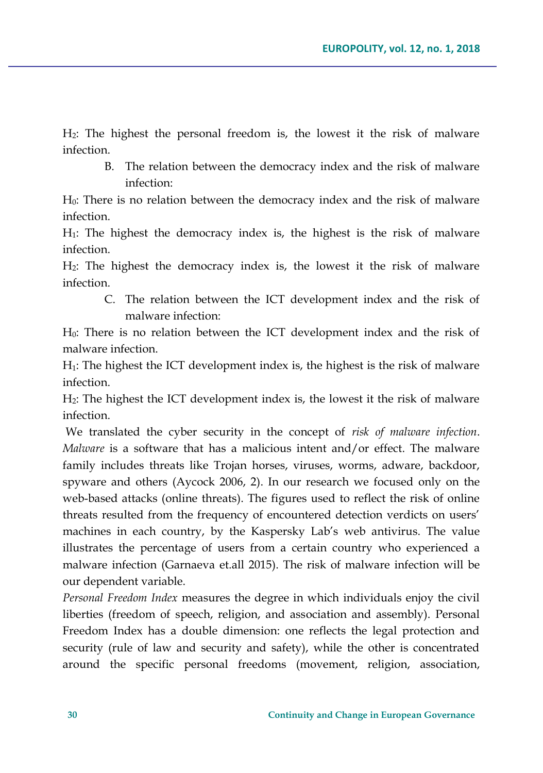H2: The highest the personal freedom is, the lowest it the risk of malware infection.

B. The relation between the democracy index and the risk of malware infection:

H0: There is no relation between the democracy index and the risk of malware infection.

H1: The highest the democracy index is, the highest is the risk of malware infection.

H2: The highest the democracy index is, the lowest it the risk of malware infection.

C. The relation between the ICT development index and the risk of malware infection:

H0: There is no relation between the ICT development index and the risk of malware infection.

H1: The highest the ICT development index is, the highest is the risk of malware infection.

H2: The highest the ICT development index is, the lowest it the risk of malware infection.

We translated the cyber security in the concept of *risk of malware infection*. *Malware* is a software that has a malicious intent and/or effect. The malware family includes threats like Trojan horses, viruses, worms, adware, backdoor, spyware and others (Aycock 2006, 2). In our research we focused only on the web-based attacks (online threats). The figures used to reflect the risk of online threats resulted from the frequency of encountered detection verdicts on users' machines in each country, by the Kaspersky Lab's web antivirus. The value illustrates the percentage of users from a certain country who experienced a malware infection (Garnaeva et.all 2015). The risk of malware infection will be our dependent variable.

*Personal Freedom Index* measures the degree in which individuals enjoy the civil liberties (freedom of speech, religion, and association and assembly). Personal Freedom Index has a double dimension: one reflects the legal protection and security (rule of law and security and safety), while the other is concentrated around the specific personal freedoms (movement, religion, association,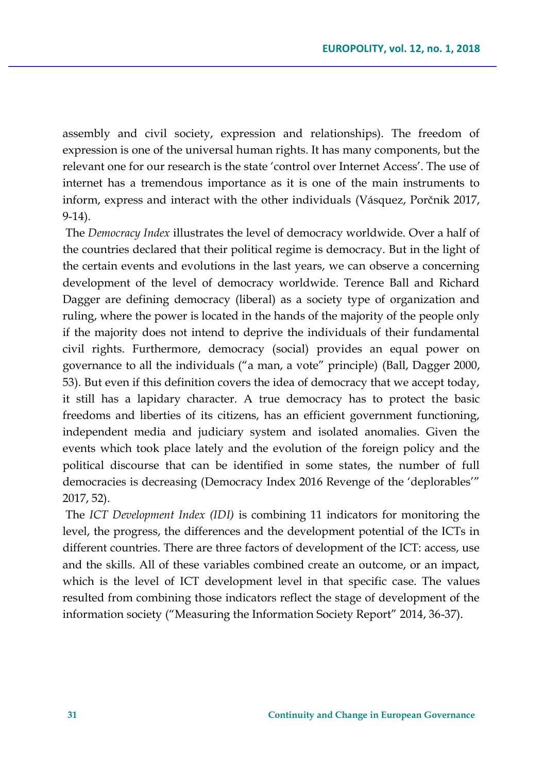assembly and civil society, expression and relationships). The freedom of expression is one of the universal human rights. It has many components, but the relevant one for our research is the state 'control over Internet Access'. The use of internet has a tremendous importance as it is one of the main instruments to inform, express and interact with the other individuals (Vásquez, Porčnik 2017, 9-14).

The *Democracy Index* illustrates the level of democracy worldwide. Over a half of the countries declared that their political regime is democracy. But in the light of the certain events and evolutions in the last years, we can observe a concerning development of the level of democracy worldwide. Terence Ball and Richard Dagger are defining democracy (liberal) as a society type of organization and ruling, where the power is located in the hands of the majority of the people only if the majority does not intend to deprive the individuals of their fundamental civil rights. Furthermore, democracy (social) provides an equal power on governance to all the individuals ("a man, a vote" principle) (Ball, Dagger 2000, 53). But even if this definition covers the idea of democracy that we accept today, it still has a lapidary character. A true democracy has to protect the basic freedoms and liberties of its citizens, has an efficient government functioning, independent media and judiciary system and isolated anomalies. Given the events which took place lately and the evolution of the foreign policy and the political discourse that can be identified in some states, the number of full democracies is decreasing (Democracy Index 2016 Revenge of the 'deplorables'" 2017, 52).

The *ICT Development Index (IDI)* is combining 11 indicators for monitoring the level, the progress, the differences and the development potential of the ICTs in different countries. There are three factors of development of the ICT: access, use and the skills. All of these variables combined create an outcome, or an impact, which is the level of ICT development level in that specific case. The values resulted from combining those indicators reflect the stage of development of the information society ("Measuring the Information Society Report" 2014, 36-37).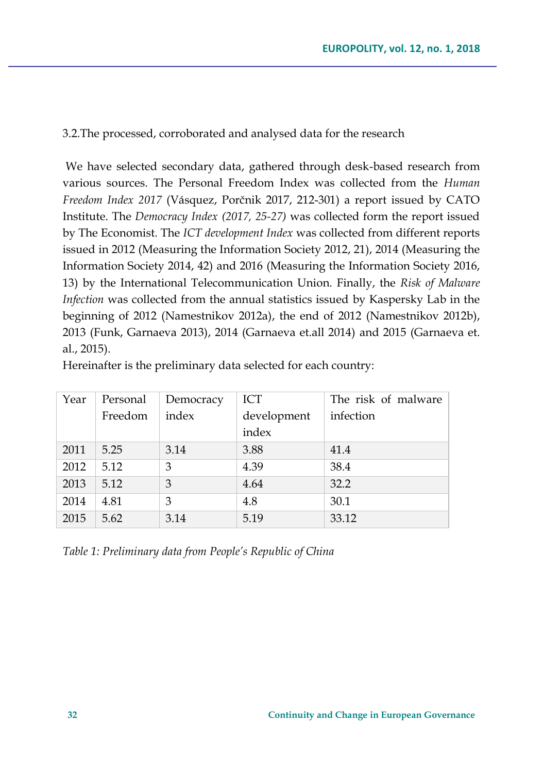3.2.The processed, corroborated and analysed data for the research

We have selected secondary data, gathered through desk-based research from various sources. The Personal Freedom Index was collected from the *Human Freedom Index 2017* (Vásquez, Porčnik 2017, 212-301) a report issued by CATO Institute. The *Democracy Index (2017, 25-27)* was collected form the report issued by The Economist. The *ICT development Index* was collected from different reports issued in 2012 (Measuring the Information Society 2012, 21), 2014 (Measuring the Information Society 2014, 42) and 2016 (Measuring the Information Society 2016, 13) by the International Telecommunication Union. Finally, the *Risk of Malware Infection* was collected from the annual statistics issued by Kaspersky Lab in the beginning of 2012 (Namestnikov 2012a), the end of 2012 (Namestnikov 2012b), 2013 (Funk, Garnaeva 2013), 2014 (Garnaeva et.all 2014) and 2015 (Garnaeva et. al., 2015).

Hereinafter is the preliminary data selected for each country:

| Year | Personal | Democracy | ICT         | The risk of malware |
|------|----------|-----------|-------------|---------------------|
|      | Freedom  | index     | development | infection           |
|      |          |           | index       |                     |
| 2011 | 5.25     | 3.14      | 3.88        | 41.4                |
| 2012 | 5.12     | 3         | 4.39        | 38.4                |
| 2013 | 5.12     | 3         | 4.64        | 32.2                |
| 2014 | 4.81     | 3         | 4.8         | 30.1                |
| 2015 | 5.62     | 3.14      | 5.19        | 33.12               |

*Table 1: Preliminary data from People's Republic of China*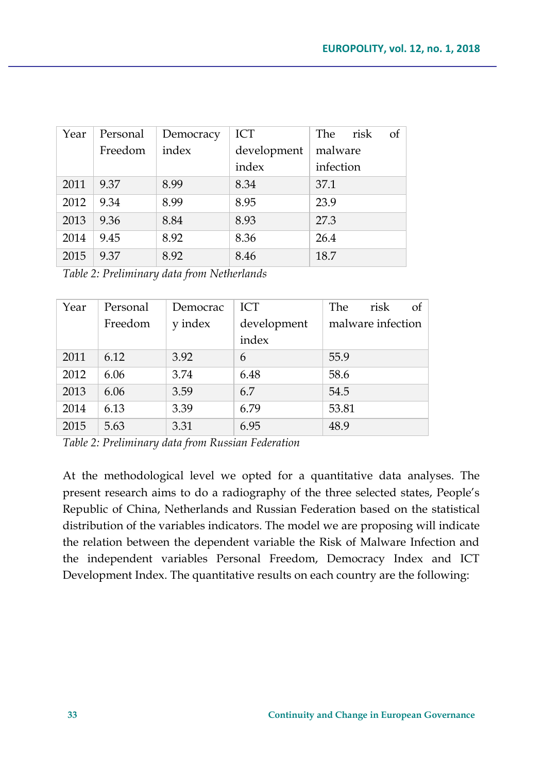| Year | Personal | Democracy | ICT         | The<br>of<br>risk |
|------|----------|-----------|-------------|-------------------|
|      | Freedom  | index     | development | malware           |
|      |          |           | index       | infection         |
| 2011 | 9.37     | 8.99      | 8.34        | 37.1              |
| 2012 | 9.34     | 8.99      | 8.95        | 23.9              |
| 2013 | 9.36     | 8.84      | 8.93        | 27.3              |
| 2014 | 9.45     | 8.92      | 8.36        | 26.4              |
| 2015 | 9.37     | 8.92      | 8.46        | 18.7              |

*Table 2: Preliminary data from Netherlands* 

| Year | Personal | Democrac | <b>ICT</b>  | The<br>risk<br>of |
|------|----------|----------|-------------|-------------------|
|      | Freedom  | y index  | development | malware infection |
|      |          |          | index       |                   |
| 2011 | 6.12     | 3.92     | 6           | 55.9              |
| 2012 | 6.06     | 3.74     | 6.48        | 58.6              |
| 2013 | 6.06     | 3.59     | 6.7         | 54.5              |
| 2014 | 6.13     | 3.39     | 6.79        | 53.81             |
| 2015 | 5.63     | 3.31     | 6.95        | 48.9              |

*Table 2: Preliminary data from Russian Federation*

At the methodological level we opted for a quantitative data analyses. The present research aims to do a radiography of the three selected states, People's Republic of China, Netherlands and Russian Federation based on the statistical distribution of the variables indicators. The model we are proposing will indicate the relation between the dependent variable the Risk of Malware Infection and the independent variables Personal Freedom, Democracy Index and ICT Development Index. The quantitative results on each country are the following: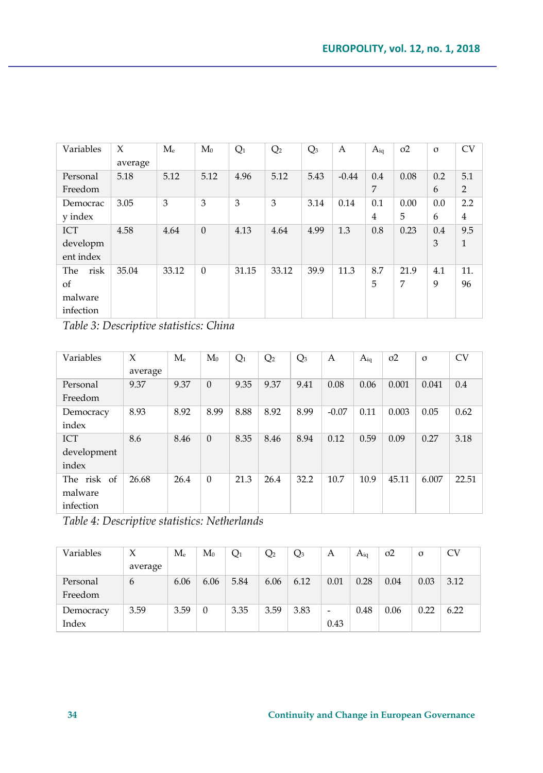| Variables   | X<br>average | $M_{\scriptscriptstyle\rm P}$ | $M_0$    | Q <sub>1</sub> | Q <sub>2</sub> | $Q_3$ | А       | $A_{iq}$       | $\sigma$ <sup>2</sup> | $\sigma$ | <b>CV</b>      |
|-------------|--------------|-------------------------------|----------|----------------|----------------|-------|---------|----------------|-----------------------|----------|----------------|
| Personal    | 5.18         | 5.12                          | 5.12     | 4.96           | 5.12           | 5.43  | $-0.44$ | 0.4            | 0.08                  | 0.2      | 5.1            |
| Freedom     |              |                               |          |                |                |       |         | 7              |                       | 6        | $\overline{2}$ |
| Democrac    | 3.05         | 3                             | 3        | 3              | 3              | 3.14  | 0.14    | 0.1            | 0.00                  | 0.0      | 2.2            |
| y index     |              |                               |          |                |                |       |         | $\overline{4}$ | 5                     | 6        | $\overline{4}$ |
| <b>ICT</b>  | 4.58         | 4.64                          | $\theta$ | 4.13           | 4.64           | 4.99  | 1.3     | 0.8            | 0.23                  | 0.4      | 9.5            |
| developm    |              |                               |          |                |                |       |         |                |                       | 3        | $\mathbf{1}$   |
| ent index   |              |                               |          |                |                |       |         |                |                       |          |                |
| risk<br>The | 35.04        | 33.12                         | $\Omega$ | 31.15          | 33.12          | 39.9  | 11.3    | 8.7            | 21.9                  | 4.1      | 11.            |
| of          |              |                               |          |                |                |       |         | 5              | 7                     | 9        | 96             |
| malware     |              |                               |          |                |                |       |         |                |                       |          |                |
| infection   |              |                               |          |                |                |       |         |                |                       |          |                |

*Table 3: Descriptive statistics: China*

| Variables   | X<br>average | $M_{\scriptscriptstyle\rm P}$ | $M_0$    | $Q_1$ | Q <sub>2</sub> | $Q_3$ | А       | $A_{iq}$ | $\sigma$ <sup>2</sup> | $\sigma$ | <b>CV</b> |
|-------------|--------------|-------------------------------|----------|-------|----------------|-------|---------|----------|-----------------------|----------|-----------|
| Personal    | 9.37         | 9.37                          | $\Omega$ | 9.35  | 9.37           | 9.41  | 0.08    | 0.06     | 0.001                 | 0.041    | 0.4       |
| Freedom     |              |                               |          |       |                |       |         |          |                       |          |           |
| Democracy   | 8.93         | 8.92                          | 8.99     | 8.88  | 8.92           | 8.99  | $-0.07$ | 0.11     | 0.003                 | 0.05     | 0.62      |
| index       |              |                               |          |       |                |       |         |          |                       |          |           |
| <b>ICT</b>  | 8.6          | 8.46                          | $\Omega$ | 8.35  | 8.46           | 8.94  | 0.12    | 0.59     | 0.09                  | 0.27     | 3.18      |
| development |              |                               |          |       |                |       |         |          |                       |          |           |
| index       |              |                               |          |       |                |       |         |          |                       |          |           |
| The risk of | 26.68        | 26.4                          | $\Omega$ | 21.3  | 26.4           | 32.2  | 10.7    | 10.9     | 45.11                 | 6.007    | 22.51     |
| malware     |              |                               |          |       |                |       |         |          |                       |          |           |
| infection   |              |                               |          |       |                |       |         |          |                       |          |           |

*Table 4: Descriptive statistics: Netherlands* 

| Variables |         | $\rm M_e$ | $M_0$    | $Q_1$ | Q <sub>2</sub> | $Q_3$ | А    | $A_{i\alpha}$ | $\sigma$ <sup>2</sup> | σ    | CV   |
|-----------|---------|-----------|----------|-------|----------------|-------|------|---------------|-----------------------|------|------|
|           | average |           |          |       |                |       |      |               |                       |      |      |
| Personal  | 6       | 6.06      | 6.06     | 5.84  | 6.06           | 6.12  | 0.01 | 0.28          | 0.04                  | 0.03 | 3.12 |
| Freedom   |         |           |          |       |                |       |      |               |                       |      |      |
| Democracy | 3.59    | 3.59      | $\theta$ | 3.35  | 3.59           | 3.83  | -    | 0.48          | 0.06                  | 0.22 | 6.22 |
| Index     |         |           |          |       |                |       | 0.43 |               |                       |      |      |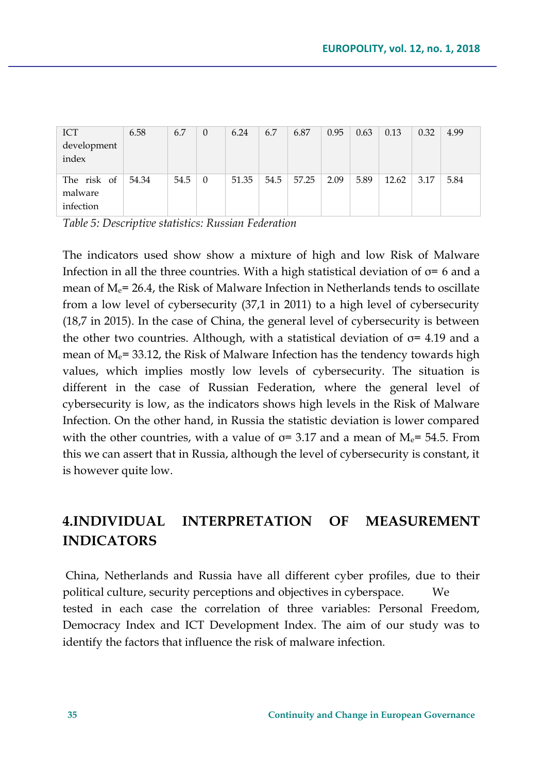| <b>ICT</b>  | 6.58  | 6.7  | $\theta$ | 6.24  | 6.7  | 6.87  | 0.95 | 0.63 | 0.13  | 0.32 | 4.99 |
|-------------|-------|------|----------|-------|------|-------|------|------|-------|------|------|
| development |       |      |          |       |      |       |      |      |       |      |      |
| index       |       |      |          |       |      |       |      |      |       |      |      |
|             |       |      |          |       |      |       |      |      |       |      |      |
| The risk of | 54.34 | 54.5 | $\theta$ | 51.35 | 54.5 | 57.25 | 2.09 | 5.89 | 12.62 | 3.17 | 5.84 |
| malware     |       |      |          |       |      |       |      |      |       |      |      |
| infection   |       |      |          |       |      |       |      |      |       |      |      |
|             |       |      |          |       |      |       |      |      |       |      |      |

*Table 5: Descriptive statistics: Russian Federation*

The indicators used show show a mixture of high and low Risk of Malware Infection in all the three countries. With a high statistical deviation of  $\sigma$ = 6 and a mean of  $M_e$ = 26.4, the Risk of Malware Infection in Netherlands tends to oscillate from a low level of cybersecurity (37,1 in 2011) to a high level of cybersecurity (18,7 in 2015). In the case of China, the general level of cybersecurity is between the other two countries. Although, with a statistical deviation of  $\sigma$ = 4.19 and a mean of  $M_e$ = 33.12, the Risk of Malware Infection has the tendency towards high values, which implies mostly low levels of cybersecurity. The situation is different in the case of Russian Federation, where the general level of cybersecurity is low, as the indicators shows high levels in the Risk of Malware Infection. On the other hand, in Russia the statistic deviation is lower compared with the other countries, with a value of  $\sigma$ = 3.17 and a mean of M<sub>e</sub>= 54.5. From this we can assert that in Russia, although the level of cybersecurity is constant, it is however quite low.

# **4.INDIVIDUAL INTERPRETATION OF MEASUREMENT INDICATORS**

China, Netherlands and Russia have all different cyber profiles, due to their political culture, security perceptions and objectives in cyberspace. We tested in each case the correlation of three variables: Personal Freedom, Democracy Index and ICT Development Index. The aim of our study was to identify the factors that influence the risk of malware infection.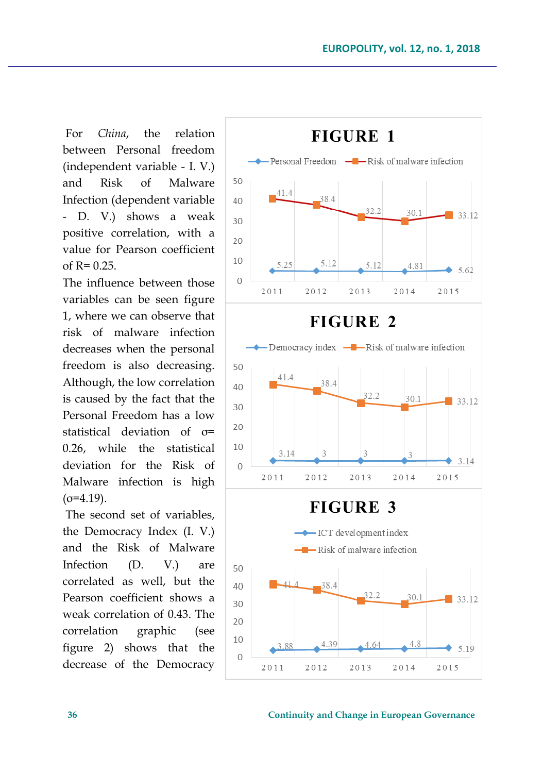For *China*, the relation between Personal freedom (independent variable - I. V.) and Risk of Malware Infection (dependent variable - D. V.) shows a weak positive correlation, with a value for Pearson coefficient of  $R = 0.25$ .

The influence between those variables can be seen figure 1, where we can observe that risk of malware infection decreases when the personal freedom is also decreasing. Although, the low correlation is caused by the fact that the Personal Freedom has a low statistical deviation of σ= 0.26, while the statistical deviation for the Risk of Malware infection is high  $(\sigma = 4.19)$ .

The second set of variables, the Democracy Index (I. V.) and the Risk of Malware Infection (D. V.) are correlated as well, but the Pearson coefficient shows a weak correlation of 0.43. The correlation graphic (see figure 2) shows that the decrease of the Democracy

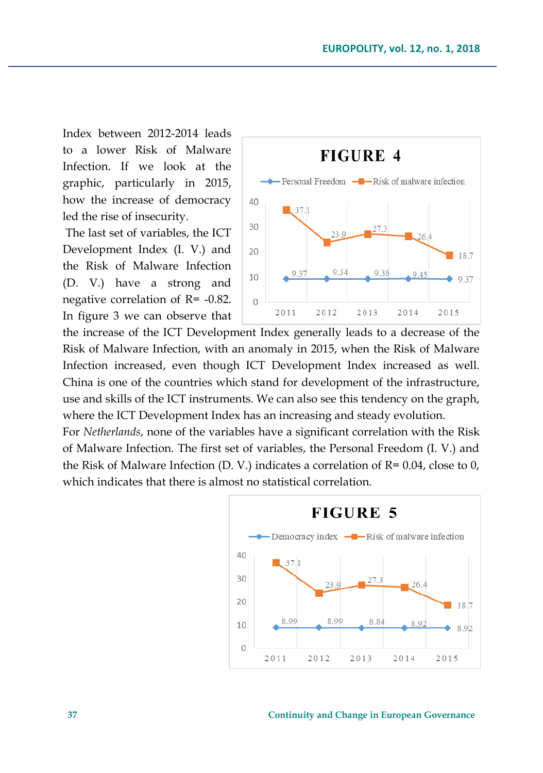Index between 2012-2014 leads to a lower Risk of Malware Infection. If we look at the graphic, particularly in 2015, how the increase of democracy led the rise of insecurity.

The last set of variables, the ICT Development Index (I. V.) and the Risk of Malware Infection (D. V.) have a strong and negative correlation of R= -0.82. In figure 3 we can observe that



the increase of the ICT Development Index generally leads to a decrease of the Risk of Malware Infection, with an anomaly in 2015, when the Risk of Malware Infection increased, even though ICT Development Index increased as well. China is one of the countries which stand for development of the infrastructure, use and skills of the ICT instruments. We can also see this tendency on the graph, where the ICT Development Index has an increasing and steady evolution.

For *Netherlands*, none of the variables have a significant correlation with the Risk of Malware Infection. The first set of variables, the Personal Freedom (I. V.) and the Risk of Malware Infection (D. V.) indicates a correlation of R= 0.04, close to 0, which indicates that there is almost no statistical correlation.

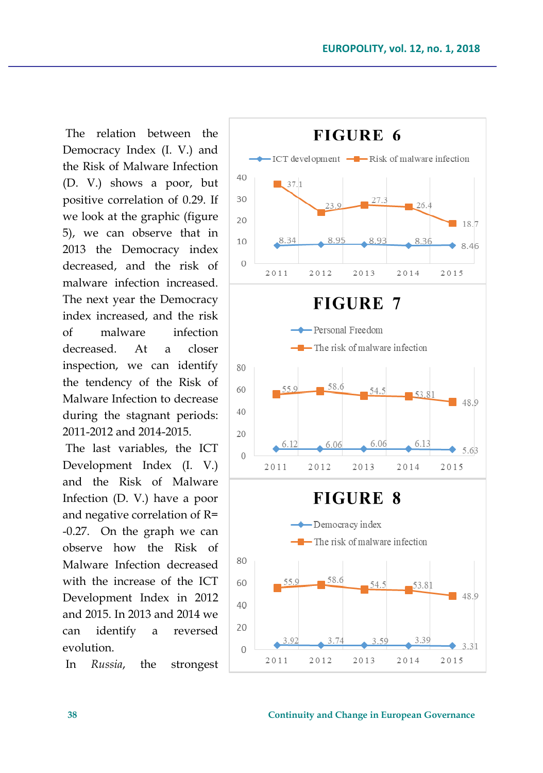The relation between the Democracy Index (I. V.) and the Risk of Malware Infection (D. V.) shows a poor, but positive correlation of 0.29. If we look at the graphic (figure 5), we can observe that in 2013 the Democracy index decreased, and the risk of malware infection increased. The next year the Democracy index increased, and the risk of malware infection decreased. At a closer inspection, we can identify the tendency of the Risk of Malware Infection to decrease during the stagnant periods: 2011-2012 and 2014-2015.

The last variables, the ICT Development Index (I. V.) and the Risk of Malware Infection (D. V.) have a poor and negative correlation of R= -0.27. On the graph we can observe how the Risk of Malware Infection decreased with the increase of the ICT Development Index in 2012 and 2015. In 2013 and 2014 we can identify a reversed evolution.

In *Russia*, the strongest

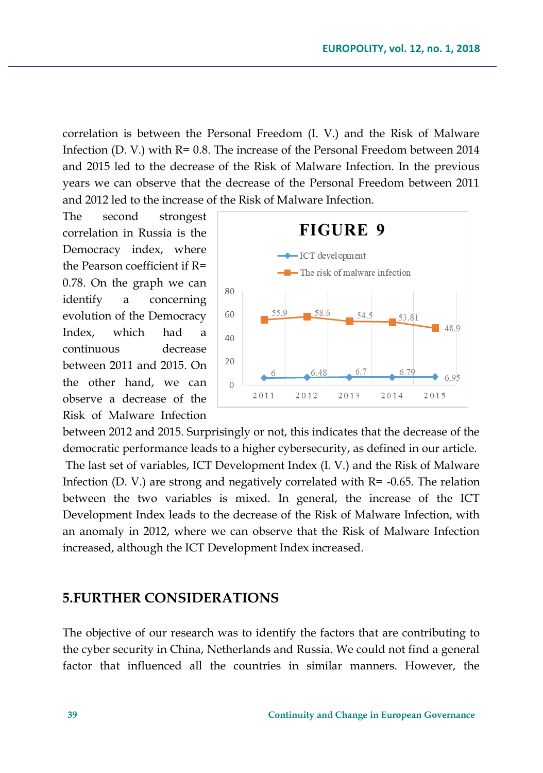correlation is between the Personal Freedom (I. V.) and the Risk of Malware Infection (D. V.) with  $R = 0.8$ . The increase of the Personal Freedom between 2014 and 2015 led to the decrease of the Risk of Malware Infection. In the previous years we can observe that the decrease of the Personal Freedom between 2011 and 2012 led to the increase of the Risk of Malware Infection.

The second strongest correlation in Russia is the Democracy index, where the Pearson coefficient if R= 0.78. On the graph we can identify a concerning evolution of the Democracy Index, which had a continuous decrease between 2011 and 2015. On the other hand, we can observe a decrease of the Risk of Malware Infection

![](_page_14_Figure_3.jpeg)

between 2012 and 2015. Surprisingly or not, this indicates that the decrease of the democratic performance leads to a higher cybersecurity, as defined in our article. The last set of variables, ICT Development Index (I. V.) and the Risk of Malware Infection (D. V.) are strong and negatively correlated with  $R = -0.65$ . The relation between the two variables is mixed. In general, the increase of the ICT Development Index leads to the decrease of the Risk of Malware Infection, with an anomaly in 2012, where we can observe that the Risk of Malware Infection increased, although the ICT Development Index increased.

### **5.FURTHER CONSIDERATIONS**

The objective of our research was to identify the factors that are contributing to the cyber security in China, Netherlands and Russia. We could not find a general factor that influenced all the countries in similar manners. However, the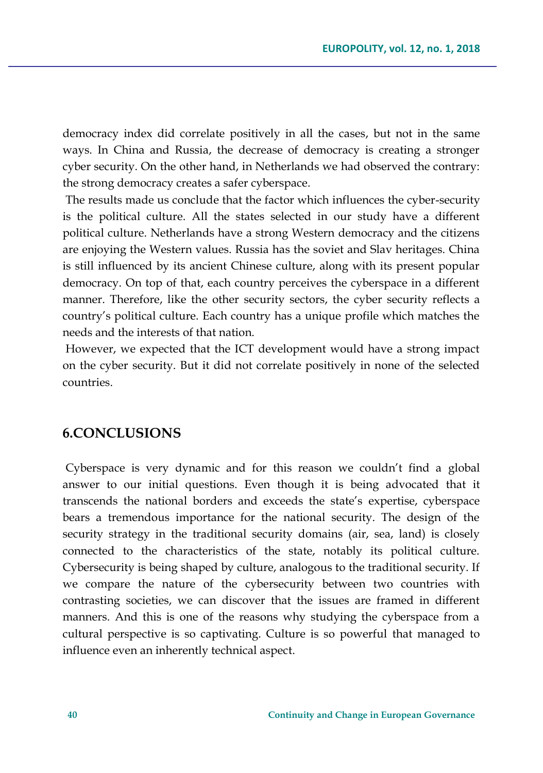democracy index did correlate positively in all the cases, but not in the same ways. In China and Russia, the decrease of democracy is creating a stronger cyber security. On the other hand, in Netherlands we had observed the contrary: the strong democracy creates a safer cyberspace.

The results made us conclude that the factor which influences the cyber-security is the political culture. All the states selected in our study have a different political culture. Netherlands have a strong Western democracy and the citizens are enjoying the Western values. Russia has the soviet and Slav heritages. China is still influenced by its ancient Chinese culture, along with its present popular democracy. On top of that, each country perceives the cyberspace in a different manner. Therefore, like the other security sectors, the cyber security reflects a country's political culture. Each country has a unique profile which matches the needs and the interests of that nation.

However, we expected that the ICT development would have a strong impact on the cyber security. But it did not correlate positively in none of the selected countries.

# **6.CONCLUSIONS**

Cyberspace is very dynamic and for this reason we couldn't find a global answer to our initial questions. Even though it is being advocated that it transcends the national borders and exceeds the state's expertise, cyberspace bears a tremendous importance for the national security. The design of the security strategy in the traditional security domains (air, sea, land) is closely connected to the characteristics of the state, notably its political culture. Cybersecurity is being shaped by culture, analogous to the traditional security. If we compare the nature of the cybersecurity between two countries with contrasting societies, we can discover that the issues are framed in different manners. And this is one of the reasons why studying the cyberspace from a cultural perspective is so captivating. Culture is so powerful that managed to influence even an inherently technical aspect.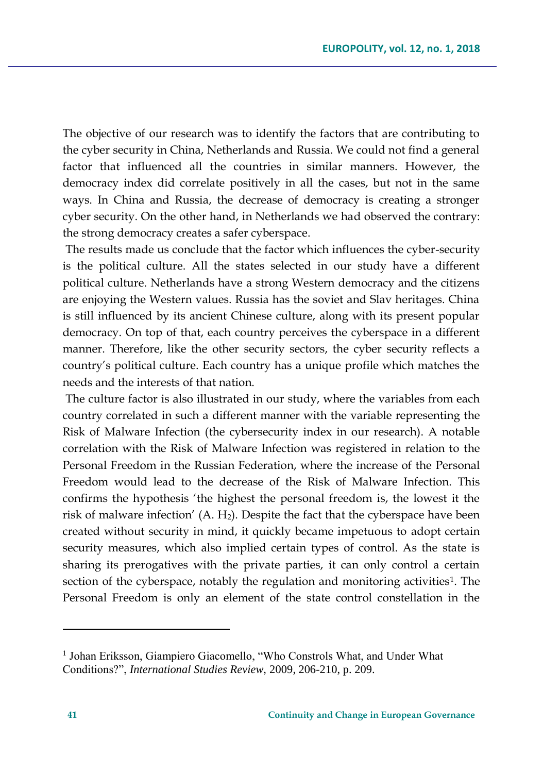The objective of our research was to identify the factors that are contributing to the cyber security in China, Netherlands and Russia. We could not find a general factor that influenced all the countries in similar manners. However, the democracy index did correlate positively in all the cases, but not in the same ways. In China and Russia, the decrease of democracy is creating a stronger cyber security. On the other hand, in Netherlands we had observed the contrary: the strong democracy creates a safer cyberspace.

The results made us conclude that the factor which influences the cyber-security is the political culture. All the states selected in our study have a different political culture. Netherlands have a strong Western democracy and the citizens are enjoying the Western values. Russia has the soviet and Slav heritages. China is still influenced by its ancient Chinese culture, along with its present popular democracy. On top of that, each country perceives the cyberspace in a different manner. Therefore, like the other security sectors, the cyber security reflects a country's political culture. Each country has a unique profile which matches the needs and the interests of that nation.

The culture factor is also illustrated in our study, where the variables from each country correlated in such a different manner with the variable representing the Risk of Malware Infection (the cybersecurity index in our research). A notable correlation with the Risk of Malware Infection was registered in relation to the Personal Freedom in the Russian Federation, where the increase of the Personal Freedom would lead to the decrease of the Risk of Malware Infection. This confirms the hypothesis 'the highest the personal freedom is, the lowest it the risk of malware infection'  $(A, H_2)$ . Despite the fact that the cyberspace have been created without security in mind, it quickly became impetuous to adopt certain security measures, which also implied certain types of control. As the state is sharing its prerogatives with the private parties, it can only control a certain section of the cyberspace, notably the regulation and monitoring activities<sup>1</sup>. The Personal Freedom is only an element of the state control constellation in the

 $\overline{a}$ 

<sup>&</sup>lt;sup>1</sup> Johan Eriksson, Giampiero Giacomello, "Who Constrols What, and Under What Conditions?", *International Studies Review,* 2009, 206-210, p. 209.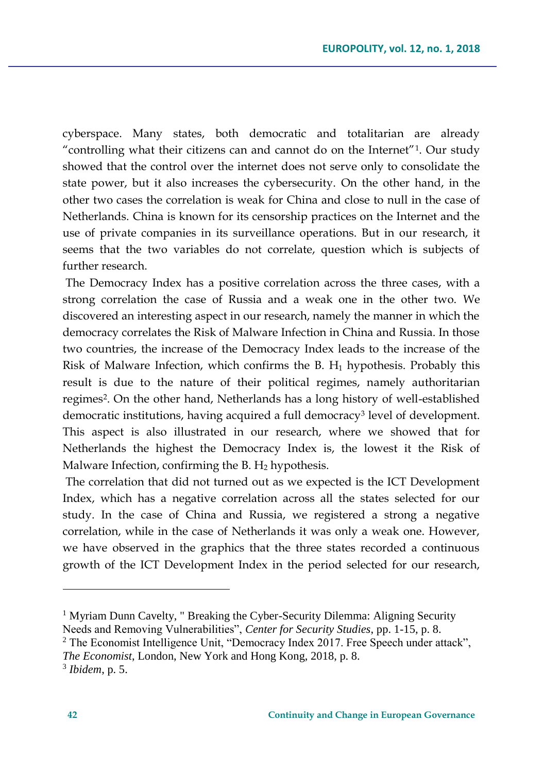cyberspace. Many states, both democratic and totalitarian are already "controlling what their citizens can and cannot do on the Internet"<sup>1</sup> . Our study showed that the control over the internet does not serve only to consolidate the state power, but it also increases the cybersecurity. On the other hand, in the other two cases the correlation is weak for China and close to null in the case of Netherlands. China is known for its censorship practices on the Internet and the use of private companies in its surveillance operations. But in our research, it seems that the two variables do not correlate, question which is subjects of further research.

The Democracy Index has a positive correlation across the three cases, with a strong correlation the case of Russia and a weak one in the other two. We discovered an interesting aspect in our research, namely the manner in which the democracy correlates the Risk of Malware Infection in China and Russia. In those two countries, the increase of the Democracy Index leads to the increase of the Risk of Malware Infection, which confirms the B.  $H_1$  hypothesis. Probably this result is due to the nature of their political regimes, namely authoritarian regimes<sup>2</sup> . On the other hand, Netherlands has a long history of well-established democratic institutions, having acquired a full democracy<sup>3</sup> level of development. This aspect is also illustrated in our research, where we showed that for Netherlands the highest the Democracy Index is, the lowest it the Risk of Malware Infection, confirming the B.  $H_2$  hypothesis.

The correlation that did not turned out as we expected is the ICT Development Index, which has a negative correlation across all the states selected for our study. In the case of China and Russia, we registered a strong a negative correlation, while in the case of Netherlands it was only a weak one. However, we have observed in the graphics that the three states recorded a continuous growth of the ICT Development Index in the period selected for our research,

 $\overline{a}$ 

<sup>1</sup> Myriam Dunn Cavelty, " Breaking the Cyber-Security Dilemma: Aligning Security Needs and Removing Vulnerabilities", *Center for Security Studies*, pp. 1-15, p. 8.

<sup>&</sup>lt;sup>2</sup> The Economist Intelligence Unit, "Democracy Index 2017. Free Speech under attack",

*The Economist*, London, New York and Hong Kong, 2018, p. 8.

<sup>3</sup> *Ibidem*, p. 5.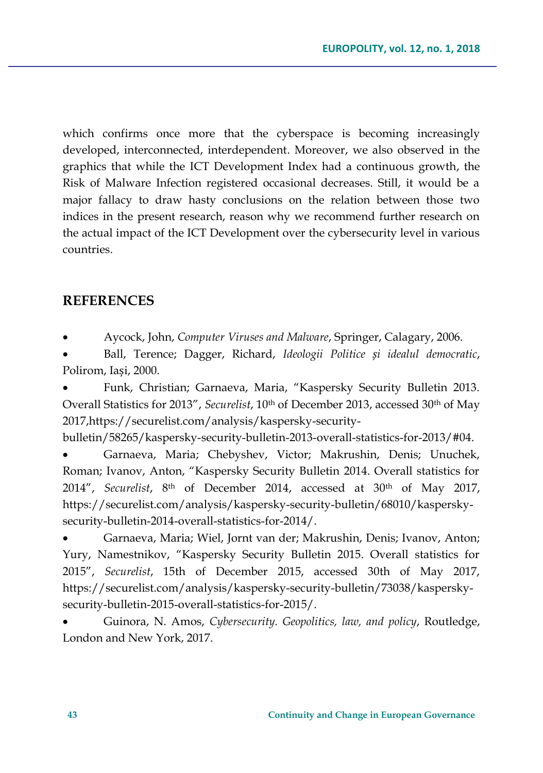which confirms once more that the cyberspace is becoming increasingly developed, interconnected, interdependent. Moreover, we also observed in the graphics that while the ICT Development Index had a continuous growth, the Risk of Malware Infection registered occasional decreases. Still, it would be a major fallacy to draw hasty conclusions on the relation between those two indices in the present research, reason why we recommend further research on the actual impact of the ICT Development over the cybersecurity level in various countries.

## **REFERENCES**

Aycock, John, *Computer Viruses and Malware*, Springer, Calagary, 2006.

 Ball, Terence; Dagger, Richard, *Ideologii Politice și idealul democratic*, Polirom, Iași, 2000.

 Funk, Christian; Garnaeva, Maria, "Kaspersky Security Bulletin 2013. Overall Statistics for 2013", *Securelist*, 10th of December 2013, accessed 30th of May 201[7,https://securelist.com/analysis/kaspersky-security-](https://securelist.com/analysis/kaspersky-security-bulletin/58265/kaspersky-security-bulletin-2013-overall-statistics-for-2013/#04)

[bulletin/58265/kaspersky-security-bulletin-2013-overall-statistics-for-2013/#04.](https://securelist.com/analysis/kaspersky-security-bulletin/58265/kaspersky-security-bulletin-2013-overall-statistics-for-2013/#04)

 Garnaeva, Maria; Chebyshev, Victor; Makrushin, Denis; Unuchek, Roman; Ivanov, Anton, "Kaspersky Security Bulletin 2014. Overall statistics for 2014", *Securelist*, 8th of December 2014, accessed at 30th of May 2017, [https://securelist.com/analysis/kaspersky-security-bulletin/68010/kaspersky](https://securelist.com/analysis/kaspersky-security-bulletin/68010/kaspersky-security-bulletin-2014-overall-statistics-for-2014/)[security-bulletin-2014-overall-statistics-for-2014/.](https://securelist.com/analysis/kaspersky-security-bulletin/68010/kaspersky-security-bulletin-2014-overall-statistics-for-2014/)

 Garnaeva, Maria; Wiel, Jornt van der; Makrushin, Denis; Ivanov, Anton; Yury, Namestnikov, "Kaspersky Security Bulletin 2015. Overall statistics for 2015", *Securelist*, 15th of December 2015, accessed 30th of May 2017, [https://securelist.com/analysis/kaspersky-security-bulletin/73038/kaspersky](https://securelist.com/analysis/kaspersky-security-bulletin/73038/kaspersky-security-bulletin-2015-overall-statistics-for-2015/)[security-bulletin-2015-overall-statistics-for-2015/.](https://securelist.com/analysis/kaspersky-security-bulletin/73038/kaspersky-security-bulletin-2015-overall-statistics-for-2015/)

 Guinora, N. Amos, *Cybersecurity. Geopolitics, law, and policy*, Routledge, London and New York, 2017.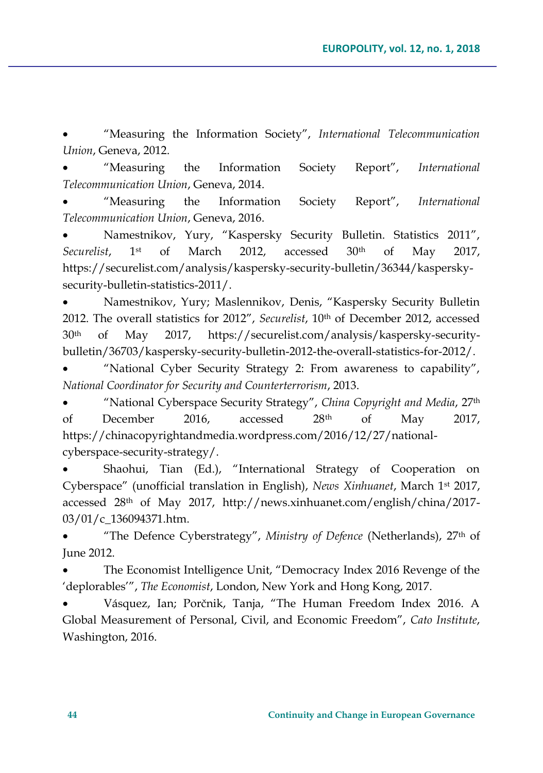"Measuring the Information Society", *International Telecommunication Union*, Geneva, 2012.

 "Measuring the Information Society Report", *International Telecommunication Union*, Geneva, 2014.

 "Measuring the Information Society Report", *International Telecommunication Union*, Geneva, 2016.

 Namestnikov, Yury, "Kaspersky Security Bulletin. Statistics 2011", *Securelist*, 1st of March 2012, accessed 30th of May 2017, [https://securelist.com/analysis/kaspersky-security-bulletin/36344/kaspersky](https://securelist.com/analysis/kaspersky-security-bulletin/36344/kaspersky-security-bulletin-statistics-2011/)[security-bulletin-statistics-2011/.](https://securelist.com/analysis/kaspersky-security-bulletin/36344/kaspersky-security-bulletin-statistics-2011/)

 Namestnikov, Yury; Maslennikov, Denis, "Kaspersky Security Bulletin 2012. The overall statistics for 2012", *Securelist*, 10<sup>th</sup> of December 2012, accessed 30th of May 2017, [https://securelist.com/analysis/kaspersky-security](https://securelist.com/analysis/kaspersky-security-bulletin/36703/kaspersky-security-bulletin-2012-the-overall-statistics-for-2012/)[bulletin/36703/kaspersky-security-bulletin-2012-the-overall-statistics-for-2012/.](https://securelist.com/analysis/kaspersky-security-bulletin/36703/kaspersky-security-bulletin-2012-the-overall-statistics-for-2012/)

 "National Cyber Security Strategy 2: From awareness to capability", *National Coordinator for Security and Counterterrorism*, 2013.

 "National Cyberspace Security Strategy", *China Copyright and Media*, 27th of December 2016, accessed 28th of May 2017, [https://chinacopyrightandmedia.wordpress.com/2016/12/27/national](https://chinacopyrightandmedia.wordpress.com/2016/12/27/national-cyberspace-security-strategy/)[cyberspace-security-strategy/.](https://chinacopyrightandmedia.wordpress.com/2016/12/27/national-cyberspace-security-strategy/)

 Shaohui, Tian (Ed.), "International Strategy of Cooperation on Cyberspace" (unofficial translation in English), *News Xinhuanet*, March 1st 2017, accessed 28th of May 2017, [http://news.xinhuanet.com/english/china/2017-](http://news.xinhuanet.com/english/china/2017-03/01/c_136094371.htm) [03/01/c\\_136094371.htm.](http://news.xinhuanet.com/english/china/2017-03/01/c_136094371.htm)

 "The Defence Cyberstrategy", *Ministry of Defence* (Netherlands), 27th of June 2012.

 The Economist Intelligence Unit, "Democracy Index 2016 Revenge of the 'deplorables'", *The Economist*, London, New York and Hong Kong, 2017.

 Vásquez, Ian; Porčnik, Tanja, "The Human Freedom Index 2016. A Global Measurement of Personal, Civil, and Economic Freedom", *Cato Institute*, Washington, 2016.